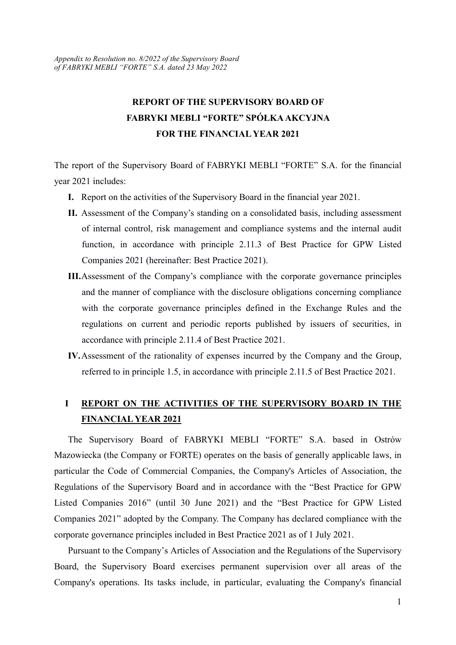## REPORT OF THE SUPERVISORY BOARD OF FABRYKI MEBLI "FORTE" SPÓŁKA AKCYJNA FOR THE FINANCIAL YEAR 2021

The report of the Supervisory Board of FABRYKI MEBLI "FORTE" S.A. for the financial year 2021 includes:

- I. Report on the activities of the Supervisory Board in the financial year 2021.
- II. Assessment of the Company's standing on a consolidated basis, including assessment of internal control, risk management and compliance systems and the internal audit function, in accordance with principle 2.11.3 of Best Practice for GPW Listed Companies 2021 (hereinafter: Best Practice 2021).
- III.Assessment of the Company's compliance with the corporate governance principles and the manner of compliance with the disclosure obligations concerning compliance with the corporate governance principles defined in the Exchange Rules and the regulations on current and periodic reports published by issuers of securities, in accordance with principle 2.11.4 of Best Practice 2021.
- IV.Assessment of the rationality of expenses incurred by the Company and the Group, referred to in principle 1.5, in accordance with principle 2.11.5 of Best Practice 2021.

#### I REPORT ON THE ACTIVITIES OF THE SUPERVISORY BOARD IN THE FINANCIAL YEAR 2021

The Supervisory Board of FABRYKI MEBLI "FORTE" S.A. based in Ostrów Mazowiecka (the Company or FORTE) operates on the basis of generally applicable laws, in particular the Code of Commercial Companies, the Company's Articles of Association, the Regulations of the Supervisory Board and in accordance with the "Best Practice for GPW Listed Companies 2016" (until 30 June 2021) and the "Best Practice for GPW Listed Companies 2021" adopted by the Company. The Company has declared compliance with the corporate governance principles included in Best Practice 2021 as of 1 July 2021.

Pursuant to the Company's Articles of Association and the Regulations of the Supervisory Board, the Supervisory Board exercises permanent supervision over all areas of the Company's operations. Its tasks include, in particular, evaluating the Company's financial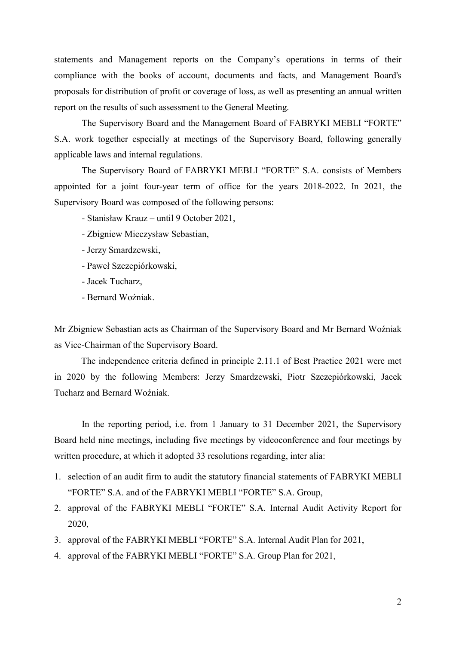statements and Management reports on the Company's operations in terms of their compliance with the books of account, documents and facts, and Management Board's proposals for distribution of profit or coverage of loss, as well as presenting an annual written report on the results of such assessment to the General Meeting.

 The Supervisory Board and the Management Board of FABRYKI MEBLI "FORTE" S.A. work together especially at meetings of the Supervisory Board, following generally applicable laws and internal regulations.

 The Supervisory Board of FABRYKI MEBLI "FORTE" S.A. consists of Members appointed for a joint four-year term of office for the years 2018-2022. In 2021, the Supervisory Board was composed of the following persons:

- Stanisław Krauz – until 9 October 2021,

- Zbigniew Mieczysław Sebastian,
- Jerzy Smardzewski,
- Paweł Szczepiórkowski,
- Jacek Tucharz,
- Bernard Woźniak.

Mr Zbigniew Sebastian acts as Chairman of the Supervisory Board and Mr Bernard Woźniak as Vice-Chairman of the Supervisory Board.

 The independence criteria defined in principle 2.11.1 of Best Practice 2021 were met in 2020 by the following Members: Jerzy Smardzewski, Piotr Szczepiórkowski, Jacek Tucharz and Bernard Woźniak.

In the reporting period, i.e. from 1 January to 31 December 2021, the Supervisory Board held nine meetings, including five meetings by videoconference and four meetings by written procedure, at which it adopted 33 resolutions regarding, inter alia:

- 1. selection of an audit firm to audit the statutory financial statements of FABRYKI MEBLI "FORTE" S.A. and of the FABRYKI MEBLI "FORTE" S.A. Group,
- 2. approval of the FABRYKI MEBLI "FORTE" S.A. Internal Audit Activity Report for 2020,
- 3. approval of the FABRYKI MEBLI "FORTE" S.A. Internal Audit Plan for 2021,
- 4. approval of the FABRYKI MEBLI "FORTE" S.A. Group Plan for 2021,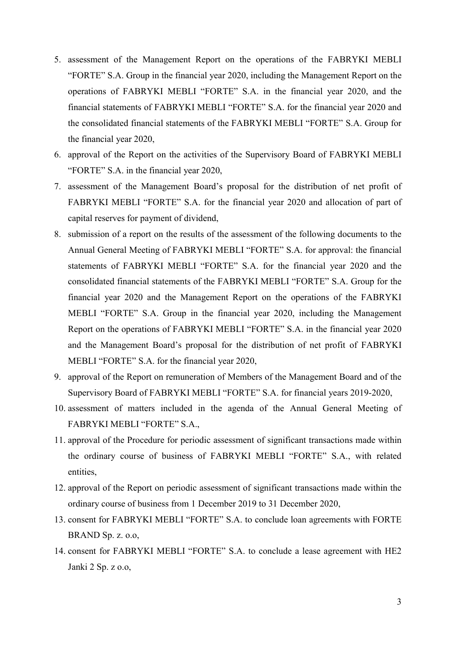- 5. assessment of the Management Report on the operations of the FABRYKI MEBLI "FORTE" S.A. Group in the financial year 2020, including the Management Report on the operations of FABRYKI MEBLI "FORTE" S.A. in the financial year 2020, and the financial statements of FABRYKI MEBLI "FORTE" S.A. for the financial year 2020 and the consolidated financial statements of the FABRYKI MEBLI "FORTE" S.A. Group for the financial year 2020,
- 6. approval of the Report on the activities of the Supervisory Board of FABRYKI MEBLI "FORTE" S.A. in the financial year 2020,
- 7. assessment of the Management Board's proposal for the distribution of net profit of FABRYKI MEBLI "FORTE" S.A. for the financial year 2020 and allocation of part of capital reserves for payment of dividend,
- 8. submission of a report on the results of the assessment of the following documents to the Annual General Meeting of FABRYKI MEBLI "FORTE" S.A. for approval: the financial statements of FABRYKI MEBLI "FORTE" S.A. for the financial year 2020 and the consolidated financial statements of the FABRYKI MEBLI "FORTE" S.A. Group for the financial year 2020 and the Management Report on the operations of the FABRYKI MEBLI "FORTE" S.A. Group in the financial year 2020, including the Management Report on the operations of FABRYKI MEBLI "FORTE" S.A. in the financial year 2020 and the Management Board's proposal for the distribution of net profit of FABRYKI MEBLI "FORTE" S.A. for the financial year 2020,
- 9. approval of the Report on remuneration of Members of the Management Board and of the Supervisory Board of FABRYKI MEBLI "FORTE" S.A. for financial years 2019-2020,
- 10. assessment of matters included in the agenda of the Annual General Meeting of FABRYKI MEBLI "FORTE" S.A.,
- 11. approval of the Procedure for periodic assessment of significant transactions made within the ordinary course of business of FABRYKI MEBLI "FORTE" S.A., with related entities,
- 12. approval of the Report on periodic assessment of significant transactions made within the ordinary course of business from 1 December 2019 to 31 December 2020,
- 13. consent for FABRYKI MEBLI "FORTE" S.A. to conclude loan agreements with FORTE BRAND Sp. z. o.o,
- 14. consent for FABRYKI MEBLI "FORTE" S.A. to conclude a lease agreement with HE2 Janki 2 Sp. z o.o,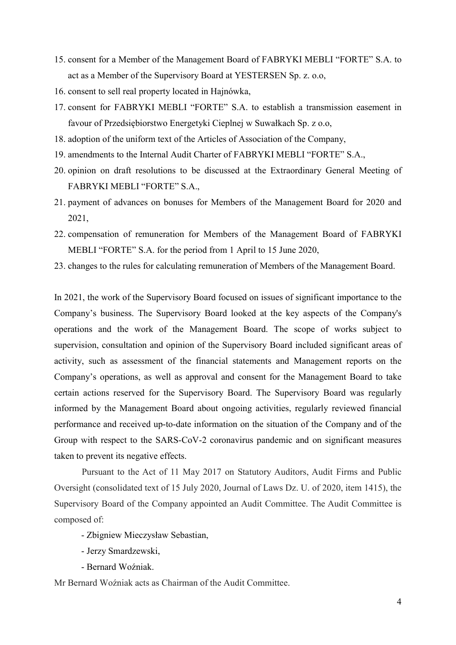- 15. consent for a Member of the Management Board of FABRYKI MEBLI "FORTE" S.A. to act as a Member of the Supervisory Board at YESTERSEN Sp. z. o.o,
- 16. consent to sell real property located in Hajnówka,
- 17. consent for FABRYKI MEBLI "FORTE" S.A. to establish a transmission easement in favour of Przedsiębiorstwo Energetyki Cieplnej w Suwałkach Sp. z o.o,
- 18. adoption of the uniform text of the Articles of Association of the Company,
- 19. amendments to the Internal Audit Charter of FABRYKI MEBLI "FORTE" S.A.,
- 20. opinion on draft resolutions to be discussed at the Extraordinary General Meeting of FABRYKI MEBLI "FORTE" S.A.,
- 21. payment of advances on bonuses for Members of the Management Board for 2020 and 2021,
- 22. compensation of remuneration for Members of the Management Board of FABRYKI MEBLI "FORTE" S.A. for the period from 1 April to 15 June 2020,
- 23. changes to the rules for calculating remuneration of Members of the Management Board.

In 2021, the work of the Supervisory Board focused on issues of significant importance to the Company's business. The Supervisory Board looked at the key aspects of the Company's operations and the work of the Management Board. The scope of works subject to supervision, consultation and opinion of the Supervisory Board included significant areas of activity, such as assessment of the financial statements and Management reports on the Company's operations, as well as approval and consent for the Management Board to take certain actions reserved for the Supervisory Board. The Supervisory Board was regularly informed by the Management Board about ongoing activities, regularly reviewed financial performance and received up-to-date information on the situation of the Company and of the Group with respect to the SARS-CoV-2 coronavirus pandemic and on significant measures taken to prevent its negative effects.

Pursuant to the Act of 11 May 2017 on Statutory Auditors, Audit Firms and Public Oversight (consolidated text of 15 July 2020, Journal of Laws Dz. U. of 2020, item 1415), the Supervisory Board of the Company appointed an Audit Committee. The Audit Committee is composed of:

- Zbigniew Mieczysław Sebastian,
- Jerzy Smardzewski,
- Bernard Woźniak.

Mr Bernard Woźniak acts as Chairman of the Audit Committee.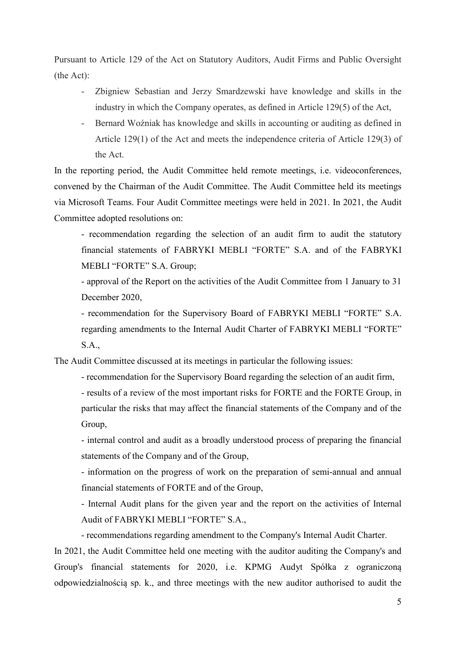Pursuant to Article 129 of the Act on Statutory Auditors, Audit Firms and Public Oversight (the Act):

- Zbigniew Sebastian and Jerzy Smardzewski have knowledge and skills in the industry in which the Company operates, as defined in Article 129(5) of the Act,
- Bernard Woźniak has knowledge and skills in accounting or auditing as defined in Article 129(1) of the Act and meets the independence criteria of Article 129(3) of the Act.

In the reporting period, the Audit Committee held remote meetings, i.e. videoconferences, convened by the Chairman of the Audit Committee. The Audit Committee held its meetings via Microsoft Teams. Four Audit Committee meetings were held in 2021. In 2021, the Audit Committee adopted resolutions on:

- recommendation regarding the selection of an audit firm to audit the statutory financial statements of FABRYKI MEBLI "FORTE" S.A. and of the FABRYKI MEBLI "FORTE" S.A. Group;

- approval of the Report on the activities of the Audit Committee from 1 January to 31 December 2020,

- recommendation for the Supervisory Board of FABRYKI MEBLI "FORTE" S.A. regarding amendments to the Internal Audit Charter of FABRYKI MEBLI "FORTE" S.A.,

The Audit Committee discussed at its meetings in particular the following issues:

- recommendation for the Supervisory Board regarding the selection of an audit firm,

- results of a review of the most important risks for FORTE and the FORTE Group, in particular the risks that may affect the financial statements of the Company and of the Group,

- internal control and audit as a broadly understood process of preparing the financial statements of the Company and of the Group,

- information on the progress of work on the preparation of semi-annual and annual financial statements of FORTE and of the Group,

- Internal Audit plans for the given year and the report on the activities of Internal Audit of FABRYKI MEBLI "FORTE" S.A.,

- recommendations regarding amendment to the Company's Internal Audit Charter.

In 2021, the Audit Committee held one meeting with the auditor auditing the Company's and Group's financial statements for 2020, i.e. KPMG Audyt Spółka z ograniczoną odpowiedzialnością sp. k., and three meetings with the new auditor authorised to audit the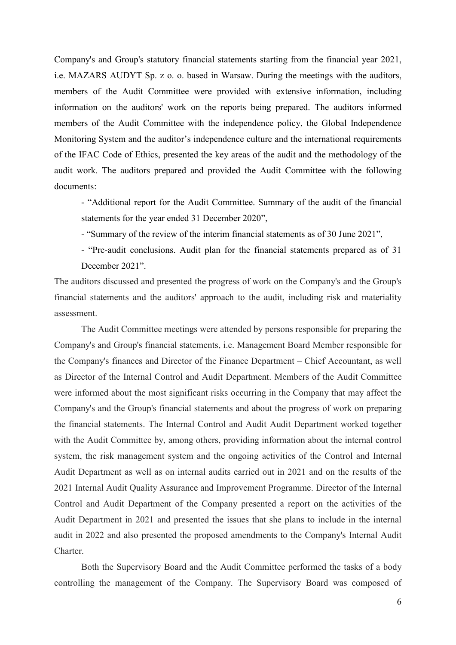Company's and Group's statutory financial statements starting from the financial year 2021, i.e. MAZARS AUDYT Sp. z o. o. based in Warsaw. During the meetings with the auditors, members of the Audit Committee were provided with extensive information, including information on the auditors' work on the reports being prepared. The auditors informed members of the Audit Committee with the independence policy, the Global Independence Monitoring System and the auditor's independence culture and the international requirements of the IFAC Code of Ethics, presented the key areas of the audit and the methodology of the audit work. The auditors prepared and provided the Audit Committee with the following documents:

- "Additional report for the Audit Committee. Summary of the audit of the financial statements for the year ended 31 December 2020",

- "Summary of the review of the interim financial statements as of 30 June 2021",

- "Pre-audit conclusions. Audit plan for the financial statements prepared as of 31 December 2021".

The auditors discussed and presented the progress of work on the Company's and the Group's financial statements and the auditors' approach to the audit, including risk and materiality assessment.

The Audit Committee meetings were attended by persons responsible for preparing the Company's and Group's financial statements, i.e. Management Board Member responsible for the Company's finances and Director of the Finance Department – Chief Accountant, as well as Director of the Internal Control and Audit Department. Members of the Audit Committee were informed about the most significant risks occurring in the Company that may affect the Company's and the Group's financial statements and about the progress of work on preparing the financial statements. The Internal Control and Audit Audit Department worked together with the Audit Committee by, among others, providing information about the internal control system, the risk management system and the ongoing activities of the Control and Internal Audit Department as well as on internal audits carried out in 2021 and on the results of the 2021 Internal Audit Quality Assurance and Improvement Programme. Director of the Internal Control and Audit Department of the Company presented a report on the activities of the Audit Department in 2021 and presented the issues that she plans to include in the internal audit in 2022 and also presented the proposed amendments to the Company's Internal Audit Charter.

Both the Supervisory Board and the Audit Committee performed the tasks of a body controlling the management of the Company. The Supervisory Board was composed of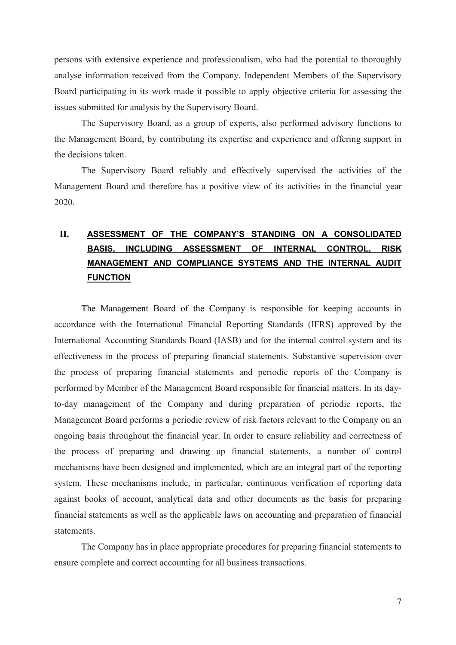persons with extensive experience and professionalism, who had the potential to thoroughly analyse information received from the Company. Independent Members of the Supervisory Board participating in its work made it possible to apply objective criteria for assessing the issues submitted for analysis by the Supervisory Board.

The Supervisory Board, as a group of experts, also performed advisory functions to the Management Board, by contributing its expertise and experience and offering support in the decisions taken.

The Supervisory Board reliably and effectively supervised the activities of the Management Board and therefore has a positive view of its activities in the financial year 2020.

### II. ASSESSMENT OF THE COMPANY'S STANDING ON A CONSOLIDATED BASIS, INCLUDING ASSESSMENT OF INTERNAL CONTROL, RISK MANAGEMENT AND COMPLIANCE SYSTEMS AND THE INTERNAL AUDIT **FUNCTION**

The Management Board of the Company is responsible for keeping accounts in accordance with the International Financial Reporting Standards (IFRS) approved by the International Accounting Standards Board (IASB) and for the internal control system and its effectiveness in the process of preparing financial statements. Substantive supervision over the process of preparing financial statements and periodic reports of the Company is performed by Member of the Management Board responsible for financial matters. In its dayto-day management of the Company and during preparation of periodic reports, the Management Board performs a periodic review of risk factors relevant to the Company on an ongoing basis throughout the financial year. In order to ensure reliability and correctness of the process of preparing and drawing up financial statements, a number of control mechanisms have been designed and implemented, which are an integral part of the reporting system. These mechanisms include, in particular, continuous verification of reporting data against books of account, analytical data and other documents as the basis for preparing financial statements as well as the applicable laws on accounting and preparation of financial statements.

The Company has in place appropriate procedures for preparing financial statements to ensure complete and correct accounting for all business transactions.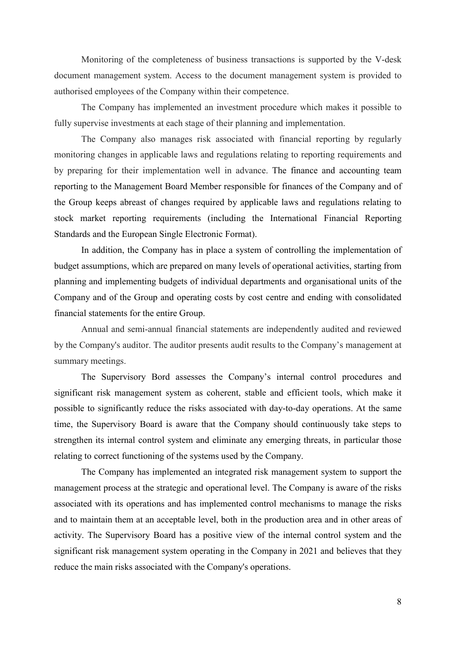Monitoring of the completeness of business transactions is supported by the V-desk document management system. Access to the document management system is provided to authorised employees of the Company within their competence.

The Company has implemented an investment procedure which makes it possible to fully supervise investments at each stage of their planning and implementation.

The Company also manages risk associated with financial reporting by regularly monitoring changes in applicable laws and regulations relating to reporting requirements and by preparing for their implementation well in advance. The finance and accounting team reporting to the Management Board Member responsible for finances of the Company and of the Group keeps abreast of changes required by applicable laws and regulations relating to stock market reporting requirements (including the International Financial Reporting Standards and the European Single Electronic Format).

In addition, the Company has in place a system of controlling the implementation of budget assumptions, which are prepared on many levels of operational activities, starting from planning and implementing budgets of individual departments and organisational units of the Company and of the Group and operating costs by cost centre and ending with consolidated financial statements for the entire Group.

Annual and semi-annual financial statements are independently audited and reviewed by the Company's auditor. The auditor presents audit results to the Company's management at summary meetings.

The Supervisory Bord assesses the Company's internal control procedures and significant risk management system as coherent, stable and efficient tools, which make it possible to significantly reduce the risks associated with day-to-day operations. At the same time, the Supervisory Board is aware that the Company should continuously take steps to strengthen its internal control system and eliminate any emerging threats, in particular those relating to correct functioning of the systems used by the Company.

The Company has implemented an integrated risk management system to support the management process at the strategic and operational level. The Company is aware of the risks associated with its operations and has implemented control mechanisms to manage the risks and to maintain them at an acceptable level, both in the production area and in other areas of activity. The Supervisory Board has a positive view of the internal control system and the significant risk management system operating in the Company in 2021 and believes that they reduce the main risks associated with the Company's operations.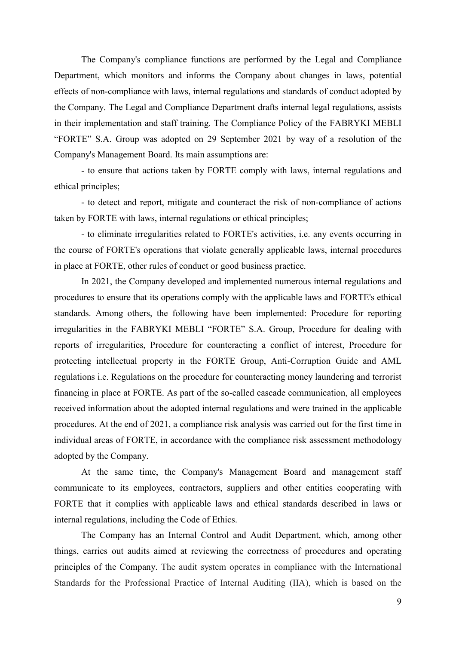The Company's compliance functions are performed by the Legal and Compliance Department, which monitors and informs the Company about changes in laws, potential effects of non-compliance with laws, internal regulations and standards of conduct adopted by the Company. The Legal and Compliance Department drafts internal legal regulations, assists in their implementation and staff training. The Compliance Policy of the FABRYKI MEBLI "FORTE" S.A. Group was adopted on 29 September 2021 by way of a resolution of the Company's Management Board. Its main assumptions are:

- to ensure that actions taken by FORTE comply with laws, internal regulations and ethical principles;

- to detect and report, mitigate and counteract the risk of non-compliance of actions taken by FORTE with laws, internal regulations or ethical principles;

- to eliminate irregularities related to FORTE's activities, i.e. any events occurring in the course of FORTE's operations that violate generally applicable laws, internal procedures in place at FORTE, other rules of conduct or good business practice.

In 2021, the Company developed and implemented numerous internal regulations and procedures to ensure that its operations comply with the applicable laws and FORTE's ethical standards. Among others, the following have been implemented: Procedure for reporting irregularities in the FABRYKI MEBLI "FORTE" S.A. Group, Procedure for dealing with reports of irregularities, Procedure for counteracting a conflict of interest, Procedure for protecting intellectual property in the FORTE Group, Anti-Corruption Guide and AML regulations i.e. Regulations on the procedure for counteracting money laundering and terrorist financing in place at FORTE. As part of the so-called cascade communication, all employees received information about the adopted internal regulations and were trained in the applicable procedures. At the end of 2021, a compliance risk analysis was carried out for the first time in individual areas of FORTE, in accordance with the compliance risk assessment methodology adopted by the Company.

At the same time, the Company's Management Board and management staff communicate to its employees, contractors, suppliers and other entities cooperating with FORTE that it complies with applicable laws and ethical standards described in laws or internal regulations, including the Code of Ethics.

The Company has an Internal Control and Audit Department, which, among other things, carries out audits aimed at reviewing the correctness of procedures and operating principles of the Company. The audit system operates in compliance with the International Standards for the Professional Practice of Internal Auditing (IIA), which is based on the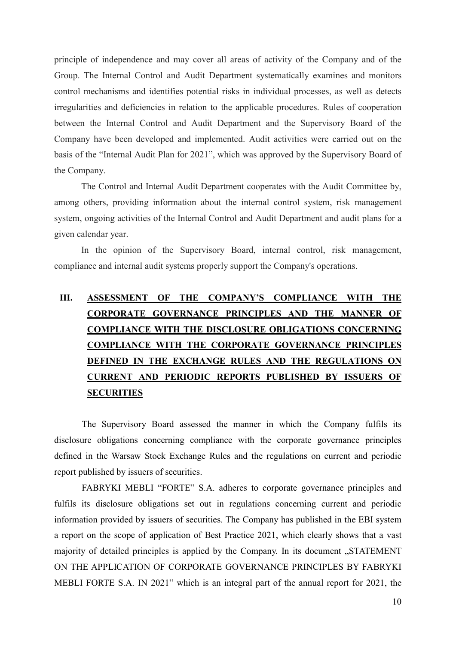principle of independence and may cover all areas of activity of the Company and of the Group. The Internal Control and Audit Department systematically examines and monitors control mechanisms and identifies potential risks in individual processes, as well as detects irregularities and deficiencies in relation to the applicable procedures. Rules of cooperation between the Internal Control and Audit Department and the Supervisory Board of the Company have been developed and implemented. Audit activities were carried out on the basis of the "Internal Audit Plan for 2021", which was approved by the Supervisory Board of the Company.

The Control and Internal Audit Department cooperates with the Audit Committee by, among others, providing information about the internal control system, risk management system, ongoing activities of the Internal Control and Audit Department and audit plans for a given calendar year.

In the opinion of the Supervisory Board, internal control, risk management, compliance and internal audit systems properly support the Company's operations.

# III. ASSESSMENT OF THE COMPANY'S COMPLIANCE WITH THE CORPORATE GOVERNANCE PRINCIPLES AND THE MANNER OF COMPLIANCE WITH THE DISCLOSURE OBLIGATIONS CONCERNING COMPLIANCE WITH THE CORPORATE GOVERNANCE PRINCIPLES DEFINED IN THE EXCHANGE RULES AND THE REGULATIONS ON CURRENT AND PERIODIC REPORTS PUBLISHED BY ISSUERS OF **SECURITIES**

The Supervisory Board assessed the manner in which the Company fulfils its disclosure obligations concerning compliance with the corporate governance principles defined in the Warsaw Stock Exchange Rules and the regulations on current and periodic report published by issuers of securities.

FABRYKI MEBLI "FORTE" S.A. adheres to corporate governance principles and fulfils its disclosure obligations set out in regulations concerning current and periodic information provided by issuers of securities. The Company has published in the EBI system a report on the scope of application of Best Practice 2021, which clearly shows that a vast majority of detailed principles is applied by the Company. In its document "STATEMENT ON THE APPLICATION OF CORPORATE GOVERNANCE PRINCIPLES BY FABRYKI MEBLI FORTE S.A. IN 2021" which is an integral part of the annual report for 2021, the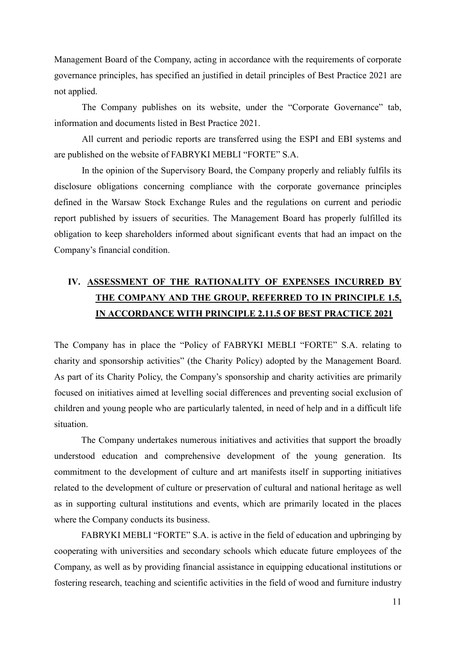Management Board of the Company, acting in accordance with the requirements of corporate governance principles, has specified an justified in detail principles of Best Practice 2021 are not applied.

The Company publishes on its website, under the "Corporate Governance" tab, information and documents listed in Best Practice 2021.

All current and periodic reports are transferred using the ESPI and EBI systems and are published on the website of FABRYKI MEBLI "FORTE" S.A.

In the opinion of the Supervisory Board, the Company properly and reliably fulfils its disclosure obligations concerning compliance with the corporate governance principles defined in the Warsaw Stock Exchange Rules and the regulations on current and periodic report published by issuers of securities. The Management Board has properly fulfilled its obligation to keep shareholders informed about significant events that had an impact on the Company's financial condition.

## IV. ASSESSMENT OF THE RATIONALITY OF EXPENSES INCURRED BY THE COMPANY AND THE GROUP, REFERRED TO IN PRINCIPLE 1.5, IN ACCORDANCE WITH PRINCIPLE 2.11.5 OF BEST PRACTICE 2021

The Company has in place the "Policy of FABRYKI MEBLI "FORTE" S.A. relating to charity and sponsorship activities" (the Charity Policy) adopted by the Management Board. As part of its Charity Policy, the Company's sponsorship and charity activities are primarily focused on initiatives aimed at levelling social differences and preventing social exclusion of children and young people who are particularly talented, in need of help and in a difficult life situation.

 The Company undertakes numerous initiatives and activities that support the broadly understood education and comprehensive development of the young generation. Its commitment to the development of culture and art manifests itself in supporting initiatives related to the development of culture or preservation of cultural and national heritage as well as in supporting cultural institutions and events, which are primarily located in the places where the Company conducts its business.

 FABRYKI MEBLI "FORTE" S.A. is active in the field of education and upbringing by cooperating with universities and secondary schools which educate future employees of the Company, as well as by providing financial assistance in equipping educational institutions or fostering research, teaching and scientific activities in the field of wood and furniture industry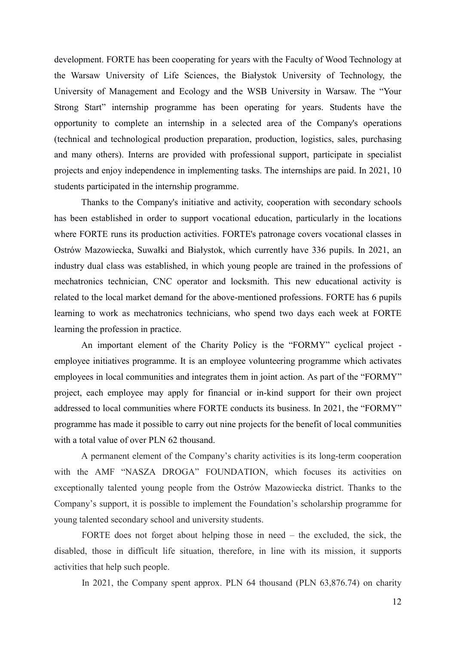development. FORTE has been cooperating for years with the Faculty of Wood Technology at the Warsaw University of Life Sciences, the Białystok University of Technology, the University of Management and Ecology and the WSB University in Warsaw. The "Your Strong Start" internship programme has been operating for years. Students have the opportunity to complete an internship in a selected area of the Company's operations (technical and technological production preparation, production, logistics, sales, purchasing and many others). Interns are provided with professional support, participate in specialist projects and enjoy independence in implementing tasks. The internships are paid. In 2021, 10 students participated in the internship programme.

Thanks to the Company's initiative and activity, cooperation with secondary schools has been established in order to support vocational education, particularly in the locations where FORTE runs its production activities. FORTE's patronage covers vocational classes in Ostrów Mazowiecka, Suwałki and Białystok, which currently have 336 pupils. In 2021, an industry dual class was established, in which young people are trained in the professions of mechatronics technician, CNC operator and locksmith. This new educational activity is related to the local market demand for the above-mentioned professions. FORTE has 6 pupils learning to work as mechatronics technicians, who spend two days each week at FORTE learning the profession in practice.

An important element of the Charity Policy is the "FORMY" cyclical project employee initiatives programme. It is an employee volunteering programme which activates employees in local communities and integrates them in joint action. As part of the "FORMY" project, each employee may apply for financial or in-kind support for their own project addressed to local communities where FORTE conducts its business. In 2021, the "FORMY" programme has made it possible to carry out nine projects for the benefit of local communities with a total value of over PLN 62 thousand.

A permanent element of the Company's charity activities is its long-term cooperation with the AMF "NASZA DROGA" FOUNDATION, which focuses its activities on exceptionally talented young people from the Ostrów Mazowiecka district. Thanks to the Company's support, it is possible to implement the Foundation's scholarship programme for young talented secondary school and university students.

FORTE does not forget about helping those in need – the excluded, the sick, the disabled, those in difficult life situation, therefore, in line with its mission, it supports activities that help such people.

In 2021, the Company spent approx. PLN 64 thousand (PLN 63,876.74) on charity